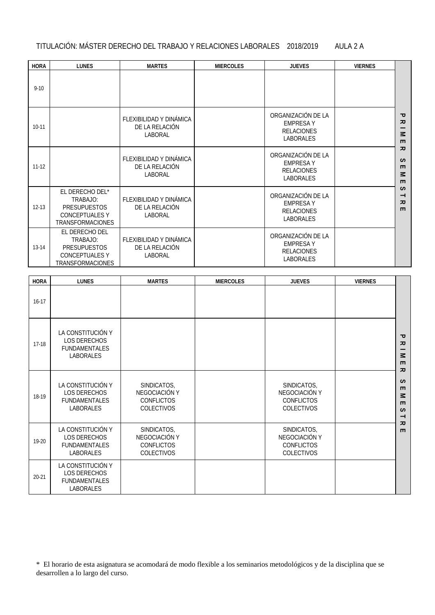## TITULACIÓN: MÁSTER DERECHO DEL TRABAJO Y RELACIONES LABORALES 2018/2019 AULA 2 A

| <b>HORA</b> | <b>LUNES</b>                                                                                           | <b>MARTES</b>                                        | <b>MIERCOLES</b> | <b>JUEVES</b>                                                                  | <b>VIERNES</b> |                                                                          |
|-------------|--------------------------------------------------------------------------------------------------------|------------------------------------------------------|------------------|--------------------------------------------------------------------------------|----------------|--------------------------------------------------------------------------|
| $9 - 10$    |                                                                                                        |                                                      |                  |                                                                                |                |                                                                          |
| $10-11$     |                                                                                                        | FLEXIBILIDAD Y DINÁMICA<br>DE LA RELACIÓN<br>LABORAL |                  | ORGANIZACIÓN DE LA<br><b>EMPRESAY</b><br><b>RELACIONES</b><br><b>LABORALES</b> |                | ᠊ᠣ<br>ᅎ<br>$\leq$<br>$\blacksquare$                                      |
| $11 - 12$   |                                                                                                        | FLEXIBILIDAD Y DINÁMICA<br>DE LA RELACIÓN<br>LABORAL |                  | ORGANIZACIÓN DE LA<br><b>EMPRESAY</b><br><b>RELACIONES</b><br><b>LABORALES</b> |                | $\overline{z}$<br>$\omega$<br>$\blacksquare$<br>$\leq$<br>$\blacksquare$ |
| $12 - 13$   | EL DERECHO DEL*<br>TRABAJO:<br><b>PRESUPUESTOS</b><br><b>CONCEPTUALES Y</b><br><b>TRANSFORMACIONES</b> | FLEXIBILIDAD Y DINÁMICA<br>DE LA RELACIÓN<br>LABORAL |                  | ORGANIZACIÓN DE LA<br><b>EMPRESAY</b><br><b>RELACIONES</b><br>LABORALES        |                | $\sim$<br>$\rightarrow$<br>ᅎ<br>$\blacksquare$                           |
| 13-14       | EL DERECHO DEL<br>TRABAJO:<br><b>PRESUPUESTOS</b><br><b>CONCEPTUALES Y</b><br>TRANSFORMACIONES         | FLEXIBILIDAD Y DINÁMICA<br>DE LA RELACIÓN<br>LABORAL |                  | ORGANIZACIÓN DE LA<br><b>EMPRESAY</b><br><b>RELACIONES</b><br>LABORALES        |                |                                                                          |
| <b>HORA</b> | <b>LUNES</b>                                                                                           | <b>MARTES</b>                                        | <b>MIERCOLES</b> | <b>JUEVES</b>                                                                  | <b>VIERNES</b> |                                                                          |
| $16-17$     |                                                                                                        |                                                      |                  |                                                                                |                |                                                                          |
| $17-18$     | LA CONSTITUCIÓN Y<br>LOS DERECHOS<br><b>FUNDAMENTALES</b><br><b>LABORALES</b>                          |                                                      |                  |                                                                                |                | ᠊ᠣ<br>ᅎ<br>—<br>$\leq$<br>$\blacksquare$<br>ᅎ                            |
|             | LA CONSTITUCIÓN V                                                                                      | <b>SINDICATOS</b>                                    |                  | <b>SINDICATOS</b>                                                              |                | $\mathfrak o$                                                            |

| $17-18$   | <b>LOS DERECHOS</b><br><b>FUNDAMENTALES</b><br><b>LABORALES</b>                      |                                                                        |                                                                        | ᄀ<br>ᅎ<br>$\leq$<br>$\blacksquare$<br>ᅎ                                                  |
|-----------|--------------------------------------------------------------------------------------|------------------------------------------------------------------------|------------------------------------------------------------------------|------------------------------------------------------------------------------------------|
| 18-19     | LA CONSTITUCIÓN Y<br><b>LOS DERECHOS</b><br><b>FUNDAMENTALES</b><br><b>LABORALES</b> | SINDICATOS,<br>NEGOCIACIÓN Y<br><b>CONFLICTOS</b><br><b>COLECTIVOS</b> | SINDICATOS,<br>NEGOCIACIÓN Y<br><b>CONFLICTOS</b><br><b>COLECTIVOS</b> | $\omega$<br>$\blacksquare$<br>$\leq$<br>$\blacksquare$<br>$\mathcal{L}$<br>$\rightarrow$ |
| $19 - 20$ | LA CONSTITUCIÓN Y<br><b>LOS DERECHOS</b><br><b>FUNDAMENTALES</b><br><b>LABORALES</b> | SINDICATOS,<br>NEGOCIACIÓN Y<br><b>CONFLICTOS</b><br><b>COLECTIVOS</b> | SINDICATOS,<br>NEGOCIACIÓN Y<br><b>CONFLICTOS</b><br><b>COLECTIVOS</b> | ᅎ<br>$\blacksquare$                                                                      |
| $20 - 21$ | LA CONSTITUCIÓN Y<br><b>LOS DERECHOS</b><br><b>FUNDAMENTALES</b><br><b>LABORALES</b> |                                                                        |                                                                        |                                                                                          |

\* El horario de esta asignatura se acomodará de modo flexible a los seminarios metodológicos y de la disciplina que se desarrollen a lo largo del curso.